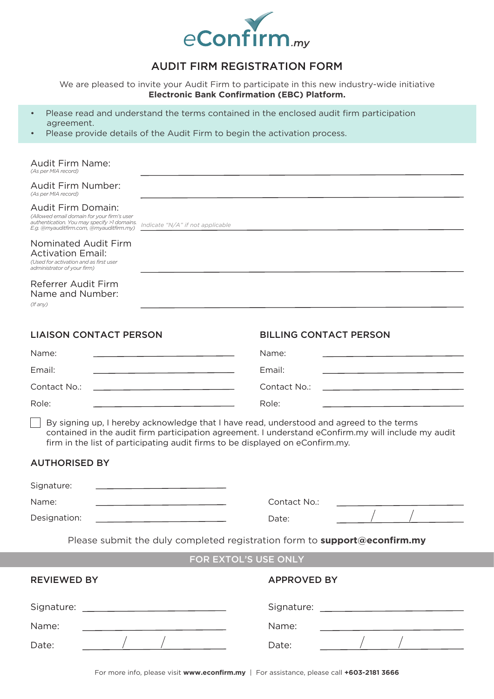

# AUDIT FIRM REGISTRATION FORM

We are pleased to invite your Audit Firm to participate in this new industry-wide initiative **Electronic Bank Confirmation (EBC) Platform.**

- Please read and understand the terms contained in the enclosed audit firm participation agreement.
- Please provide details of the Audit Firm to begin the activation process.

*Indicate "N/A" if not applicable*

#### Audit Firm Name: *(As per MIA record)*

Audit Firm Number:

*(As per MIA record)*

### Audit Firm Domain:

*(Allowed email domain for your firm's user authentication. You may specify >1 domains. E.g. @myauditfirm.com, @myauditfirm.my)*

### Nominated Audit Firm Activation Email: *(Used for activation and as first user*

*administrator of your firm)*

## Referrer Audit Firm Name and Number:

*(If any)*

| <b>LIAISON CONTACT PERSON</b>                                                                                                                                                                                                                                                    | <b>BILLING CONTACT PERSON</b>                                                                                                  |
|----------------------------------------------------------------------------------------------------------------------------------------------------------------------------------------------------------------------------------------------------------------------------------|--------------------------------------------------------------------------------------------------------------------------------|
| Name:<br>the control of the control of the control of the control of the control of                                                                                                                                                                                              | Name:<br><u> 1989 - John Harry Harry Harry Harry Harry Harry Harry Harry Harry Harry Harry Harry Harry Harry Harry Harry H</u> |
| Email:<br>the control of the control of the control of the control of the control of the control of                                                                                                                                                                              | Email:<br>the control of the control of the control of the control of the control of the control of                            |
| Contact No.:<br>the control of the control of the control of the control of the control of the control of                                                                                                                                                                        | Contact No.:<br>the control of the control of the control of the control of the control of                                     |
| Role:<br><u> 1989 - Johann Barn, mars eta inperiodo</u>                                                                                                                                                                                                                          | Role:                                                                                                                          |
| By signing up, I hereby acknowledge that I have read, understood and agreed to the terms<br>contained in the audit firm participation agreement. I understand eConfirm.my will include my audit<br>firm in the list of participating audit firms to be displayed on eConfirm.my. |                                                                                                                                |
| <b>AUTHORISED BY</b>                                                                                                                                                                                                                                                             |                                                                                                                                |
| Signature:<br><u> 1989 - Johann Barn, mars an t-Amerikaansk kommunister (</u>                                                                                                                                                                                                    |                                                                                                                                |
| Name:<br>the control of the control of the control of the control of the control of the control of                                                                                                                                                                               | Contact No.:                                                                                                                   |
| Designation:<br><u> 1989 - Johann Barbara, martxa alemaniar a</u>                                                                                                                                                                                                                | Date:                                                                                                                          |
| Please submit the duly completed registration form to support@econfirm.my                                                                                                                                                                                                        |                                                                                                                                |
| FOR EXTOL'S USE ONLY                                                                                                                                                                                                                                                             |                                                                                                                                |
| <b>REVIEWED BY</b>                                                                                                                                                                                                                                                               | <b>APPROVED BY</b>                                                                                                             |
|                                                                                                                                                                                                                                                                                  |                                                                                                                                |
| Name:                                                                                                                                                                                                                                                                            | Name:                                                                                                                          |
| Date:                                                                                                                                                                                                                                                                            | Date:                                                                                                                          |
|                                                                                                                                                                                                                                                                                  |                                                                                                                                |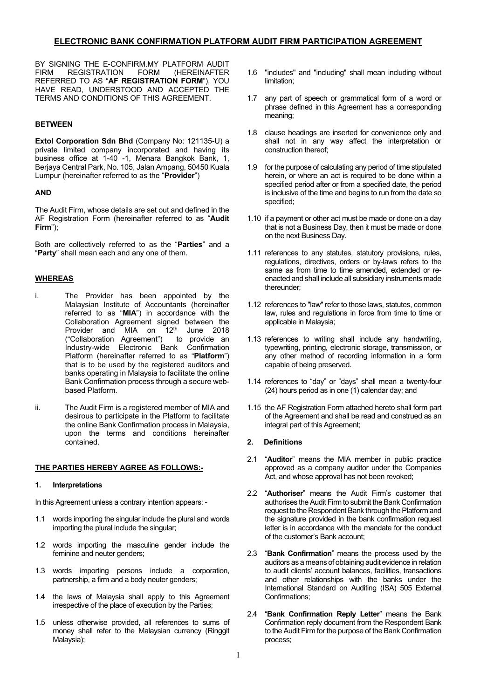BY SIGNING THE E-CONFIRM.MY PLATFORM AUDIT<br>FIRM REGISTRATION FORM (HEREINAFTER FIRM REGISTRATION REFERRED TO AS "**AF REGISTRATION FORM**"), YOU HAVE READ, UNDERSTOOD AND ACCEPTED THE TERMS AND CONDITIONS OF THIS AGREEMENT.

### **BETWEEN**

**Extol Corporation Sdn Bhd** (Company No: 121135-U) a private limited company incorporated and having its business office at 1-40 -1, Menara Bangkok Bank, 1, Berjaya Central Park, No. 105, Jalan Ampang, 50450 Kuala Lumpur (hereinafter referred to as the "**Provider**")

### **AND**

The Audit Firm, whose details are set out and defined in the AF Registration Form (hereinafter referred to as "**Audit Firm**");

Both are collectively referred to as the "**Parties**" and a "**Party**" shall mean each and any one of them.

### **WHEREAS**

- i. The Provider has been appointed by the Malaysian Institute of Accountants (hereinafter referred to as "**MIA**") in accordance with the Collaboration Agreement signed between the Provider and MIA on 12<sup>th</sup> June 2018 ("Collaboration Agreement") to provide an Industry-wide Electronic Bank Confirmation Platform (hereinafter referred to as "**Platform**") that is to be used by the registered auditors and banks operating in Malaysia to facilitate the online Bank Confirmation process through a secure webbased Platform.
- ii. The Audit Firm is a registered member of MIA and desirous to participate in the Platform to facilitate the online Bank Confirmation process in Malaysia, upon the terms and conditions hereinafter contained.

#### **THE PARTIES HEREBY AGREE AS FOLLOWS:-**

#### **1. Interpretations**

In this Agreement unless a contrary intention appears: -

- 1.1 words importing the singular include the plural and words importing the plural include the singular;
- 1.2 words importing the masculine gender include the feminine and neuter genders;
- 1.3 words importing persons include a corporation, partnership, a firm and a body neuter genders;
- 1.4 the laws of Malaysia shall apply to this Agreement irrespective of the place of execution by the Parties;
- 1.5 unless otherwise provided, all references to sums of money shall refer to the Malaysian currency (Ringgit Malaysia);
- 1.6 "includes" and "including" shall mean including without limitation;
- 1.7 any part of speech or grammatical form of a word or phrase defined in this Agreement has a corresponding meaning;
- 1.8 clause headings are inserted for convenience only and shall not in any way affect the interpretation or construction thereof;
- 1.9 for the purpose of calculating any period of time stipulated herein, or where an act is required to be done within a specified period after or from a specified date, the period is inclusive of the time and begins to run from the date so specified;
- 1.10 if a payment or other act must be made or done on a day that is not a Business Day, then it must be made or done on the next Business Day.
- 1.11 references to any statutes, statutory provisions, rules, regulations, directives, orders or by-laws refers to the same as from time to time amended, extended or reenacted and shall include all subsidiary instruments made thereunder;
- 1.12 references to "law" refer to those laws, statutes, common law, rules and regulations in force from time to time or applicable in Malaysia;
- 1.13 references to writing shall include any handwriting, typewriting, printing, electronic storage, transmission, or any other method of recording information in a form capable of being preserved.
- 1.14 references to "day" or "days" shall mean a twenty-four (24) hours period as in one (1) calendar day; and
- 1.15 the AF Registration Form attached hereto shall form part of the Agreement and shall be read and construed as an integral part of this Agreement;

### **2. Definitions**

- 2.1 "**Auditor**" means the MIA member in public practice approved as a company auditor under the Companies Act, and whose approval has not been revoked;
- 2.2 "**Authoriser**" means the Audit Firm's customer that authorises the Audit Firm to submit the Bank Confirmation request to the Respondent Bank through the Platform and the signature provided in the bank confirmation request letter is in accordance with the mandate for the conduct of the customer's Bank account;
- 2.3 "**Bank Confirmation**" means the process used by the auditors as a means of obtaining audit evidence in relation to audit clients' account balances, facilities, transactions and other relationships with the banks under the International Standard on Auditing (ISA) 505 External Confirmations;
- 2.4 "**Bank Confirmation Reply Letter**" means the Bank Confirmation reply document from the Respondent Bank to the Audit Firm for the purpose of the Bank Confirmation process;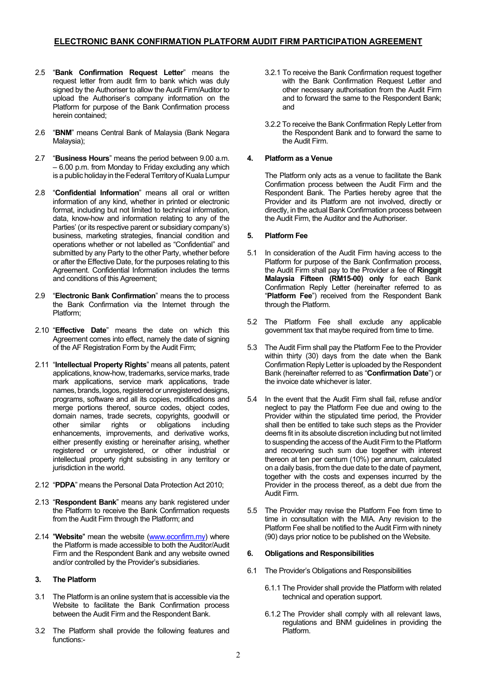- 2.5 "**Bank Confirmation Request Letter**" means the request letter from audit firm to bank which was duly signed by the Authoriser to allow the Audit Firm/Auditor to upload the Authoriser's company information on the Platform for purpose of the Bank Confirmation process herein contained;
- 2.6 "**BNM**" means Central Bank of Malaysia (Bank Negara Malaysia);
- 2.7 "**Business Hours**" means the period between 9.00 a.m. – 6.00 p.m. from Monday to Friday excluding any which is a public holiday in the Federal Territory of Kuala Lumpur
- 2.8 "**Confidential Information**" means all oral or written information of any kind, whether in printed or electronic format, including but not limited to technical information, data, know-how and information relating to any of the Parties' (or its respective parent or subsidiary company's) business, marketing strategies, financial condition and operations whether or not labelled as "Confidential" and submitted by any Party to the other Party, whether before or after the Effective Date, for the purposes relating to this Agreement. Confidential Information includes the terms and conditions of this Agreement;
- 2.9 "**Electronic Bank Confirmation**" means the to process the Bank Confirmation via the Internet through the Platform;
- 2.10 "**Effective Date**" means the date on which this Agreement comes into effect, namely the date of signing of the AF Registration Form by the Audit Firm;
- 2.11 "**Intellectual Property Rights**" means all patents, patent applications, know-how, trademarks, service marks, trade mark applications, service mark applications, trade names, brands, logos, registered or unregistered designs, programs, software and all its copies, modifications and merge portions thereof, source codes, object codes, domain names, trade secrets, copyrights, goodwill or other similar rights or obligations including enhancements, improvements, and derivative works, either presently existing or hereinafter arising, whether registered or unregistered, or other industrial or intellectual property right subsisting in any territory or jurisdiction in the world.
- 2.12 "**PDPA**" means the Personal Data Protection Act 2010;
- 2.13 "**Respondent Bank**" means any bank registered under the Platform to receive the Bank Confirmation requests from the Audit Firm through the Platform; and
- 2.14 "**Website**" mean the website (www.econfirm.my) where the Platform is made accessible to both the Auditor/Audit Firm and the Respondent Bank and any website owned and/or controlled by the Provider's subsidiaries.

### **3. The Platform**

- 3.1 The Platform is an online system that is accessible via the Website to facilitate the Bank Confirmation process between the Audit Firm and the Respondent Bank.
- 3.2 The Platform shall provide the following features and functions:-
- 3.2.1 To receive the Bank Confirmation request together with the Bank Confirmation Request Letter and other necessary authorisation from the Audit Firm and to forward the same to the Respondent Bank; and
- 3.2.2 To receive the Bank Confirmation Reply Letter from the Respondent Bank and to forward the same to the Audit Firm.

### **4. Platform as a Venue**

The Platform only acts as a venue to facilitate the Bank Confirmation process between the Audit Firm and the Respondent Bank. The Parties hereby agree that the Provider and its Platform are not involved, directly or directly, in the actual Bank Confirmation process between the Audit Firm, the Auditor and the Authoriser.

### **5. Platform Fee**

- 5.1 In consideration of the Audit Firm having access to the Platform for purpose of the Bank Confirmation process, the Audit Firm shall pay to the Provider a fee of **Ringgit Malaysia Fifteen (RM15-00) only** for each Bank Confirmation Reply Letter (hereinafter referred to as "**Platform Fee**") received from the Respondent Bank through the Platform.
- 5.2 The Platform Fee shall exclude any applicable government tax that maybe required from time to time.
- 5.3 The Audit Firm shall pay the Platform Fee to the Provider within thirty (30) days from the date when the Bank Confirmation Reply Letter is uploaded by the Respondent Bank (hereinafter referred to as "**Confirmation Date**") or the invoice date whichever is later.
- 5.4 In the event that the Audit Firm shall fail, refuse and/or neglect to pay the Platform Fee due and owing to the Provider within the stipulated time period, the Provider shall then be entitled to take such steps as the Provider deems fit in its absolute discretion including but not limited to suspending the access of the Audit Firm to the Platform and recovering such sum due together with interest thereon at ten per centum (10%) per annum, calculated on a daily basis, from the due date to the date of payment, together with the costs and expenses incurred by the Provider in the process thereof, as a debt due from the Audit Firm.
- 5.5 The Provider may revise the Platform Fee from time to time in consultation with the MIA. Any revision to the Platform Fee shall be notified to the Audit Firm with ninety (90) days prior notice to be published on the Website.

### **6. Obligations and Responsibilities**

- 6.1 The Provider's Obligations and Responsibilities
	- 6.1.1 The Provider shall provide the Platform with related technical and operation support.
	- 6.1.2 The Provider shall comply with all relevant laws, regulations and BNM guidelines in providing the Platform.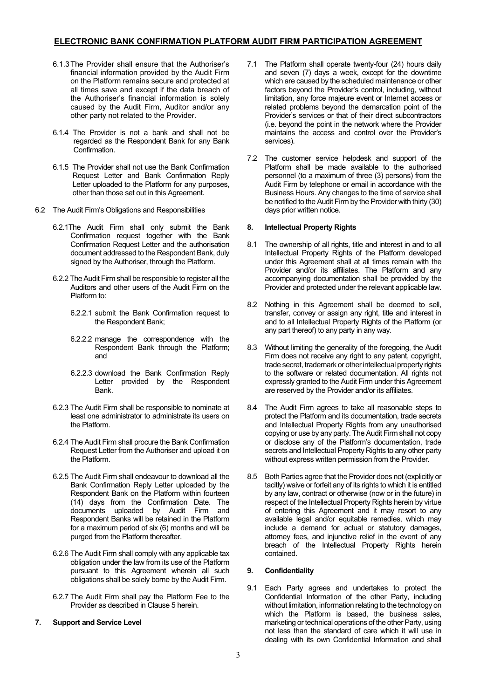- 6.1.3The Provider shall ensure that the Authoriser's financial information provided by the Audit Firm on the Platform remains secure and protected at all times save and except if the data breach of the Authoriser's financial information is solely caused by the Audit Firm, Auditor and/or any other party not related to the Provider.
- 6.1.4 The Provider is not a bank and shall not be regarded as the Respondent Bank for any Bank Confirmation.
- 6.1.5 The Provider shall not use the Bank Confirmation Request Letter and Bank Confirmation Reply Letter uploaded to the Platform for any purposes, other than those set out in this Agreement.
- 6.2 The Audit Firm's Obligations and Responsibilities
	- 6.2.1The Audit Firm shall only submit the Bank Confirmation request together with the Bank Confirmation Request Letter and the authorisation document addressed to the Respondent Bank, duly signed by the Authoriser, through the Platform.
	- 6.2.2 The Audit Firm shall be responsible to register all the Auditors and other users of the Audit Firm on the Platform to:
		- 6.2.2.1 submit the Bank Confirmation request to the Respondent Bank;
		- 6.2.2.2 manage the correspondence with the Respondent Bank through the Platform; and
		- 6.2.2.3 download the Bank Confirmation Reply Letter provided by the Respondent Bank.
	- 6.2.3 The Audit Firm shall be responsible to nominate at least one administrator to administrate its users on the Platform.
	- 6.2.4 The Audit Firm shall procure the Bank Confirmation Request Letter from the Authoriser and upload it on the Platform.
	- 6.2.5 The Audit Firm shall endeavour to download all the Bank Confirmation Reply Letter uploaded by the Respondent Bank on the Platform within fourteen (14) days from the Confirmation Date. The documents uploaded by Audit Firm and Respondent Banks will be retained in the Platform for a maximum period of six (6) months and will be purged from the Platform thereafter.
	- 6.2.6 The Audit Firm shall comply with any applicable tax obligation under the law from its use of the Platform pursuant to this Agreement wherein all such obligations shall be solely borne by the Audit Firm.
	- 6.2.7 The Audit Firm shall pay the Platform Fee to the Provider as described in Clause 5 herein.

### **7. Support and Service Level**

- 7.1 The Platform shall operate twenty-four (24) hours daily and seven (7) days a week, except for the downtime which are caused by the scheduled maintenance or other factors beyond the Provider's control, including, without limitation, any force majeure event or Internet access or related problems beyond the demarcation point of the Provider's services or that of their direct subcontractors (i.e. beyond the point in the network where the Provider maintains the access and control over the Provider's services).
- 7.2 The customer service helpdesk and support of the Platform shall be made available to the authorised personnel (to a maximum of three (3) persons) from the Audit Firm by telephone or email in accordance with the Business Hours. Any changes to the time of service shall be notified to the Audit Firm by the Provider with thirty (30) days prior written notice.

### **8. Intellectual Property Rights**

- 8.1 The ownership of all rights, title and interest in and to all Intellectual Property Rights of the Platform developed under this Agreement shall at all times remain with the Provider and/or its affiliates. The Platform and any accompanying documentation shall be provided by the Provider and protected under the relevant applicable law.
- 8.2 Nothing in this Agreement shall be deemed to sell, transfer, convey or assign any right, title and interest in and to all Intellectual Property Rights of the Platform (or any part thereof) to any party in any way.
- 8.3 Without limiting the generality of the foregoing, the Audit Firm does not receive any right to any patent, copyright, trade secret, trademark or other intellectual property rights to the software or related documentation. All rights not expressly granted to the Audit Firm under this Agreement are reserved by the Provider and/or its affiliates.
- 8.4 The Audit Firm agrees to take all reasonable steps to protect the Platform and its documentation, trade secrets and Intellectual Property Rights from any unauthorised copying or use by any party. The Audit Firm shall not copy or disclose any of the Platform's documentation, trade secrets and Intellectual Property Rights to any other party without express written permission from the Provider.
- 8.5 Both Parties agree that the Provider does not (explicitly or tacitly) waive or forfeit any of its rights to which it is entitled by any law, contract or otherwise (now or in the future) in respect of the Intellectual Property Rights herein by virtue of entering this Agreement and it may resort to any available legal and/or equitable remedies, which may include a demand for actual or statutory damages, attorney fees, and injunctive relief in the event of any breach of the Intellectual Property Rights herein contained.

### **9. Confidentiality**

9.1 Each Party agrees and undertakes to protect the Confidential Information of the other Party, including without limitation, information relating to the technology on which the Platform is based, the business sales, marketing or technical operations of the other Party, using not less than the standard of care which it will use in dealing with its own Confidential Information and shall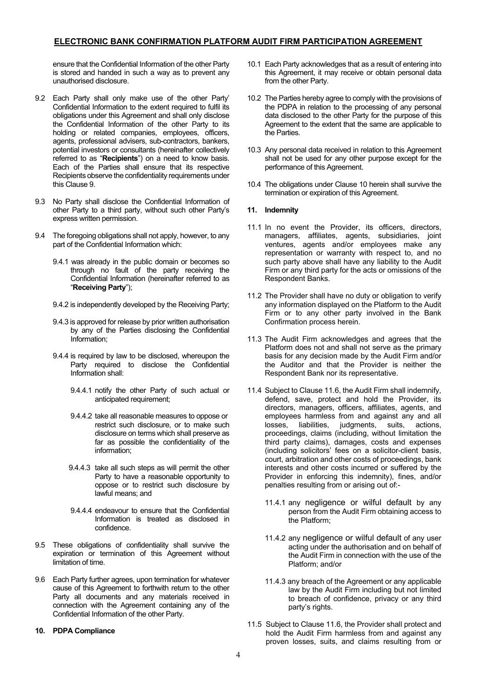ensure that the Confidential Information of the other Party is stored and handed in such a way as to prevent any unauthorised disclosure.

- 9.2 Each Party shall only make use of the other Party' Confidential Information to the extent required to fulfil its obligations under this Agreement and shall only disclose the Confidential Information of the other Party to its holding or related companies, employees, officers, agents, professional advisers, sub-contractors, bankers, potential investors or consultants (hereinafter collectively referred to as "**Recipients**") on a need to know basis. Each of the Parties shall ensure that its respective Recipients observe the confidentiality requirements under this Clause 9.
- 9.3 No Party shall disclose the Confidential Information of other Party to a third party, without such other Party's express written permission.
- 9.4 The foregoing obligations shall not apply, however, to any part of the Confidential Information which:
	- 9.4.1 was already in the public domain or becomes so through no fault of the party receiving the Confidential Information (hereinafter referred to as "**Receiving Party**");
	- 9.4.2 is independently developed by the Receiving Party;
	- 9.4.3 is approved for release by prior written authorisation by any of the Parties disclosing the Confidential Information;
	- 9.4.4 is required by law to be disclosed, whereupon the Party required to disclose the Confidential Information shall:
		- 9.4.4.1 notify the other Party of such actual or anticipated requirement;
		- 9.4.4.2 take all reasonable measures to oppose or restrict such disclosure, or to make such disclosure on terms which shall preserve as far as possible the confidentiality of the information;
		- 9.4.4.3 take all such steps as will permit the other Party to have a reasonable opportunity to oppose or to restrict such disclosure by lawful means; and
		- 9.4.4.4 endeavour to ensure that the Confidential Information is treated as disclosed in confidence.
- 9.5 These obligations of confidentiality shall survive the expiration or termination of this Agreement without limitation of time.
- 9.6 Each Party further agrees, upon termination for whatever cause of this Agreement to forthwith return to the other Party all documents and any materials received in connection with the Agreement containing any of the Confidential Information of the other Party.
- **10. PDPA Compliance**
- 10.1 Each Party acknowledges that as a result of entering into this Agreement, it may receive or obtain personal data from the other Party.
- 10.2 The Parties hereby agree to comply with the provisions of the PDPA in relation to the processing of any personal data disclosed to the other Party for the purpose of this Agreement to the extent that the same are applicable to the Parties.
- 10.3 Any personal data received in relation to this Agreement shall not be used for any other purpose except for the performance of this Agreement.
- 10.4 The obligations under Clause 10 herein shall survive the termination or expiration of this Agreement.

### **11. Indemnity**

- 11.1 In no event the Provider, its officers, directors, managers, affiliates, agents, subsidiaries, joint ventures, agents and/or employees make any representation or warranty with respect to, and no such party above shall have any liability to the Audit Firm or any third party for the acts or omissions of the Respondent Banks.
- 11.2 The Provider shall have no duty or obligation to verify any information displayed on the Platform to the Audit Firm or to any other party involved in the Bank Confirmation process herein.
- 11.3 The Audit Firm acknowledges and agrees that the Platform does not and shall not serve as the primary basis for any decision made by the Audit Firm and/or the Auditor and that the Provider is neither the Respondent Bank nor its representative.
- 11.4 Subject to Clause 11.6, the Audit Firm shall indemnify, defend, save, protect and hold the Provider, its directors, managers, officers, affiliates, agents, and employees harmless from and against any and all losses, liabilities, judgments, suits, actions, proceedings, claims (including, without limitation the third party claims), damages, costs and expenses (including solicitors' fees on a solicitor-client basis, court, arbitration and other costs of proceedings, bank interests and other costs incurred or suffered by the Provider in enforcing this indemnity), fines, and/or penalties resulting from or arising out of:-
	- 11.4.1 any negligence or wilful default by any person from the Audit Firm obtaining access to the Platform;
	- 11.4.2 any negligence or wilful default of any user acting under the authorisation and on behalf of the Audit Firm in connection with the use of the Platform; and/or
	- 11.4.3 any breach of the Agreement or any applicable law by the Audit Firm including but not limited to breach of confidence, privacy or any third party's rights.
- 11.5 Subject to Clause 11.6, the Provider shall protect and hold the Audit Firm harmless from and against any proven losses, suits, and claims resulting from or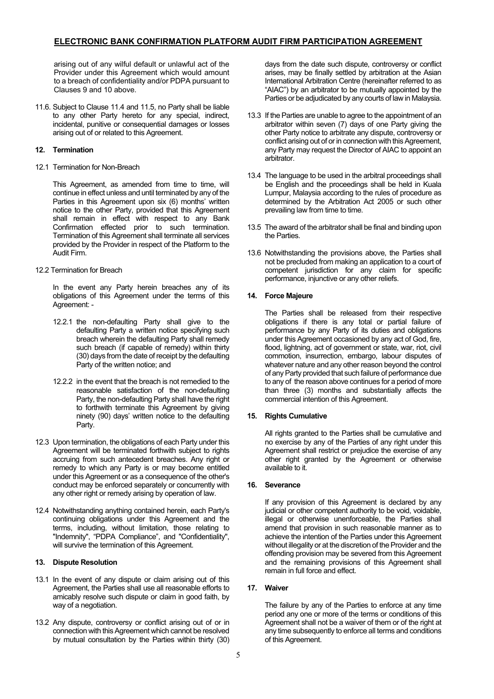arising out of any wilful default or unlawful act of the Provider under this Agreement which would amount to a breach of confidentiality and/or PDPA pursuant to Clauses 9 and 10 above.

11.6. Subject to Clause 11.4 and 11.5, no Party shall be liable to any other Party hereto for any special, indirect, incidental, punitive or consequential damages or losses arising out of or related to this Agreement.

### **12. Termination**

12.1 Termination for Non-Breach

This Agreement, as amended from time to time, will continue in effect unless and until terminated by any of the Parties in this Agreement upon six (6) months' written notice to the other Party, provided that this Agreement shall remain in effect with respect to any Bank Confirmation effected prior to such termination. Termination of this Agreement shall terminate all services provided by the Provider in respect of the Platform to the Audit Firm.

12.2 Termination for Breach

In the event any Party herein breaches any of its obligations of this Agreement under the terms of this Agreement: -

- 12.2.1 the non-defaulting Party shall give to the defaulting Party a written notice specifying such breach wherein the defaulting Party shall remedy such breach (if capable of remedy) within thirty (30) days from the date of receipt by the defaulting Party of the written notice; and
- 12.2.2 in the event that the breach is not remedied to the reasonable satisfaction of the non-defaulting Party, the non-defaulting Party shall have the right to forthwith terminate this Agreement by giving ninety (90) days' written notice to the defaulting Party.
- 12.3 Upon termination, the obligations of each Party under this Agreement will be terminated forthwith subject to rights accruing from such antecedent breaches. Any right or remedy to which any Party is or may become entitled under this Agreement or as a consequence of the other's conduct may be enforced separately or concurrently with any other right or remedy arising by operation of law.
- 12.4 Notwithstanding anything contained herein, each Party's continuing obligations under this Agreement and the terms, including, without limitation, those relating to "Indemnity", "PDPA Compliance", and "Confidentiality", will survive the termination of this Agreement.

### **13. Dispute Resolution**

- 13.1 In the event of any dispute or claim arising out of this Agreement, the Parties shall use all reasonable efforts to amicably resolve such dispute or claim in good faith, by way of a negotiation.
- 13.2 Any dispute, controversy or conflict arising out of or in connection with this Agreement which cannot be resolved by mutual consultation by the Parties within thirty (30)

days from the date such dispute, controversy or conflict arises, may be finally settled by arbitration at the Asian International Arbitration Centre (hereinafter referred to as "AIAC") by an arbitrator to be mutually appointed by the Parties or be adjudicated by any courts of law in Malaysia.

- 13.3 If the Parties are unable to agree to the appointment of an arbitrator within seven (7) days of one Party giving the other Party notice to arbitrate any dispute, controversy or conflict arising out of or in connection with this Agreement, any Party may request the Director of AIAC to appoint an arbitrator.
- 13.4 The language to be used in the arbitral proceedings shall be English and the proceedings shall be held in Kuala Lumpur, Malaysia according to the rules of procedure as determined by the Arbitration Act 2005 or such other prevailing law from time to time.
- 13.5 The award of the arbitrator shall be final and binding upon the Parties.
- 13.6 Notwithstanding the provisions above, the Parties shall not be precluded from making an application to a court of competent jurisdiction for any claim for specific performance, injunctive or any other reliefs.

### **14. Force Majeure**

The Parties shall be released from their respective obligations if there is any total or partial failure of performance by any Party of its duties and obligations under this Agreement occasioned by any act of God, fire, flood, lightning, act of government or state, war, riot, civil commotion, insurrection, embargo, labour disputes of whatever nature and any other reason beyond the control of any Party provided that such failure of performance due to any of the reason above continues for a period of more than three (3) months and substantially affects the commercial intention of this Agreement.

### **15. Rights Cumulative**

All rights granted to the Parties shall be cumulative and no exercise by any of the Parties of any right under this Agreement shall restrict or prejudice the exercise of any other right granted by the Agreement or otherwise available to it.

### **16. Severance**

If any provision of this Agreement is declared by any judicial or other competent authority to be void, voidable, illegal or otherwise unenforceable, the Parties shall amend that provision in such reasonable manner as to achieve the intention of the Parties under this Agreement without illegality or at the discretion of the Provider and the offending provision may be severed from this Agreement and the remaining provisions of this Agreement shall remain in full force and effect.

### **17. Waiver**

The failure by any of the Parties to enforce at any time period any one or more of the terms or conditions of this Agreement shall not be a waiver of them or of the right at any time subsequently to enforce all terms and conditions of this Agreement.